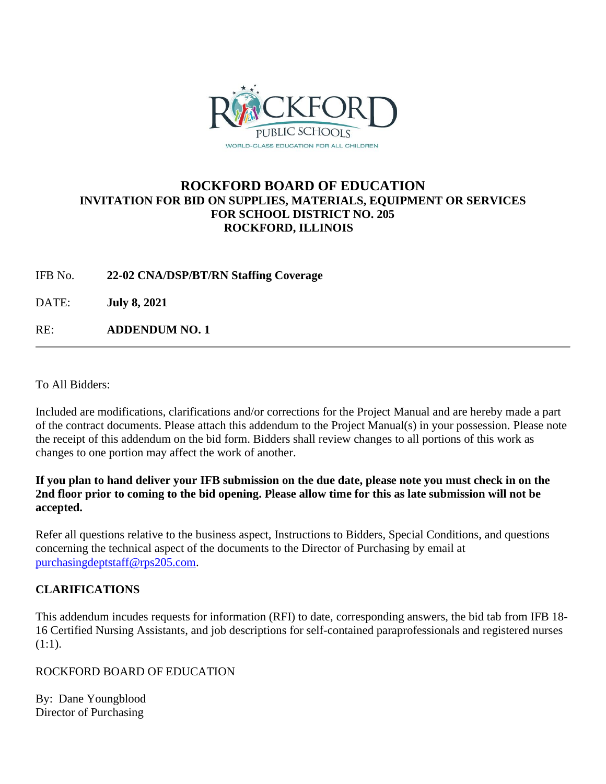

### **ROCKFORD BOARD OF EDUCATION INVITATION FOR BID ON SUPPLIES, MATERIALS, EQUIPMENT OR SERVICES FOR SCHOOL DISTRICT NO. 205 ROCKFORD, ILLINOIS**

IFB No. **22-02 CNA/DSP/BT/RN Staffing Coverage**

DATE: **July 8, 2021**

RE: **ADDENDUM NO. 1**

To All Bidders:

Included are modifications, clarifications and/or corrections for the Project Manual and are hereby made a part of the contract documents. Please attach this addendum to the Project Manual(s) in your possession. Please note the receipt of this addendum on the bid form. Bidders shall review changes to all portions of this work as changes to one portion may affect the work of another.

**If you plan to hand deliver your IFB submission on the due date, please note you must check in on the 2nd floor prior to coming to the bid opening. Please allow time for this as late submission will not be accepted.**

Refer all questions relative to the business aspect, Instructions to Bidders, Special Conditions, and questions concerning the technical aspect of the documents to the Director of Purchasing by email at [purchasingdeptstaff@rps205.com.](mailto:purchasingdeptstaff@rps205.com)

### **CLARIFICATIONS**

This addendum incudes requests for information (RFI) to date, corresponding answers, the bid tab from IFB 18- 16 Certified Nursing Assistants, and job descriptions for self-contained paraprofessionals and registered nurses  $(1:1).$ 

ROCKFORD BOARD OF EDUCATION

By: Dane Youngblood Director of Purchasing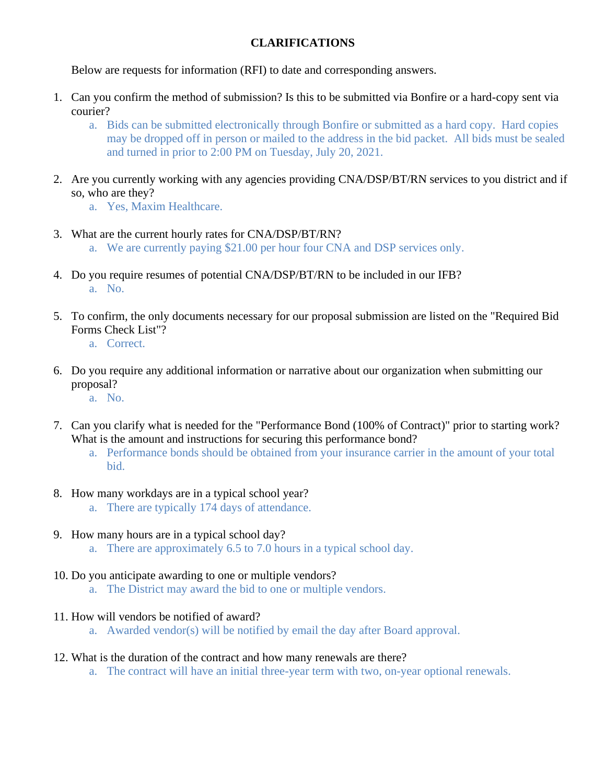### **CLARIFICATIONS**

Below are requests for information (RFI) to date and corresponding answers.

- 1. Can you confirm the method of submission? Is this to be submitted via Bonfire or a hard-copy sent via courier?
	- a. Bids can be submitted electronically through Bonfire or submitted as a hard copy. Hard copies may be dropped off in person or mailed to the address in the bid packet. All bids must be sealed and turned in prior to 2:00 PM on Tuesday, July 20, 2021.
- 2. Are you currently working with any agencies providing CNA/DSP/BT/RN services to you district and if so, who are they?
	- a. Yes, Maxim Healthcare.
- 3. What are the current hourly rates for CNA/DSP/BT/RN? a. We are currently paying \$21.00 per hour four CNA and DSP services only.
	-
- 4. Do you require resumes of potential CNA/DSP/BT/RN to be included in our IFB? a. No.
- 5. To confirm, the only documents necessary for our proposal submission are listed on the "Required Bid Forms Check List"?
	- a. Correct.
- 6. Do you require any additional information or narrative about our organization when submitting our proposal?
	- a. No.
- 7. Can you clarify what is needed for the "Performance Bond (100% of Contract)" prior to starting work? What is the amount and instructions for securing this performance bond?
	- a. Performance bonds should be obtained from your insurance carrier in the amount of your total bid.
- 8. How many workdays are in a typical school year?
	- a. There are typically 174 days of attendance.
- 9. How many hours are in a typical school day?
	- a. There are approximately 6.5 to 7.0 hours in a typical school day.
- 10. Do you anticipate awarding to one or multiple vendors?
	- a. The District may award the bid to one or multiple vendors.
- 11. How will vendors be notified of award?
	- a. Awarded vendor(s) will be notified by email the day after Board approval.
- 12. What is the duration of the contract and how many renewals are there?
	- a. The contract will have an initial three-year term with two, on-year optional renewals.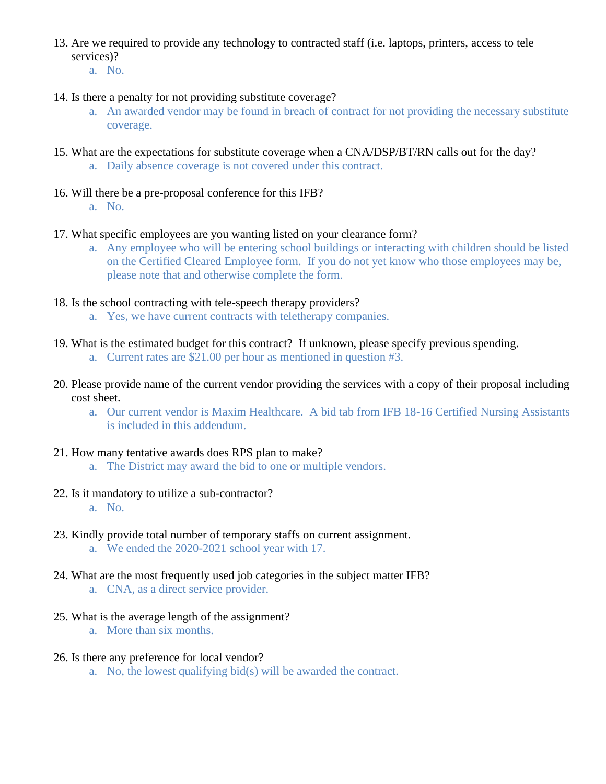- 13. Are we required to provide any technology to contracted staff (i.e. laptops, printers, access to tele services)?
	- a. No.
- 14. Is there a penalty for not providing substitute coverage?
	- a. An awarded vendor may be found in breach of contract for not providing the necessary substitute coverage.
- 15. What are the expectations for substitute coverage when a CNA/DSP/BT/RN calls out for the day?
	- a. Daily absence coverage is not covered under this contract.
- 16. Will there be a pre-proposal conference for this IFB?
	- a. No.
- 17. What specific employees are you wanting listed on your clearance form?
	- a. Any employee who will be entering school buildings or interacting with children should be listed on the Certified Cleared Employee form. If you do not yet know who those employees may be, please note that and otherwise complete the form.
- 18. Is the school contracting with tele-speech therapy providers?
	- a. Yes, we have current contracts with teletherapy companies.
- 19. What is the estimated budget for this contract? If unknown, please specify previous spending.
	- a. Current rates are \$21.00 per hour as mentioned in question #3.
- 20. Please provide name of the current vendor providing the services with a copy of their proposal including cost sheet.
	- a. Our current vendor is Maxim Healthcare. A bid tab from IFB 18-16 Certified Nursing Assistants is included in this addendum.
- 21. How many tentative awards does RPS plan to make?
	- a. The District may award the bid to one or multiple vendors.
- 22. Is it mandatory to utilize a sub-contractor? a. No.
- 23. Kindly provide total number of temporary staffs on current assignment. a. We ended the 2020-2021 school year with 17.
- 24. What are the most frequently used job categories in the subject matter IFB? a. CNA, as a direct service provider.
- 25. What is the average length of the assignment?
	- a. More than six months.
- 26. Is there any preference for local vendor?
	- a. No, the lowest qualifying bid(s) will be awarded the contract.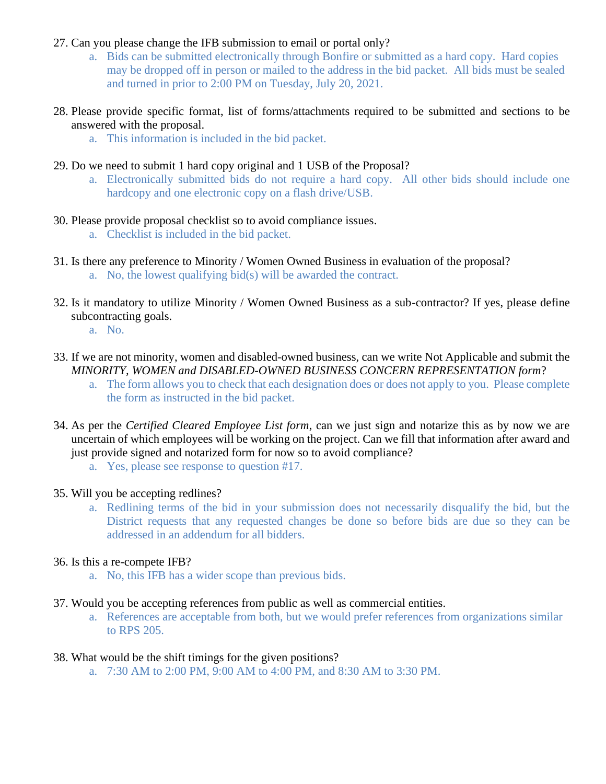- 27. Can you please change the IFB submission to email or portal only?
	- a. Bids can be submitted electronically through Bonfire or submitted as a hard copy. Hard copies may be dropped off in person or mailed to the address in the bid packet. All bids must be sealed and turned in prior to 2:00 PM on Tuesday, July 20, 2021.
- 28. Please provide specific format, list of forms/attachments required to be submitted and sections to be answered with the proposal.
	- a. This information is included in the bid packet.
- 29. Do we need to submit 1 hard copy original and 1 USB of the Proposal?
	- a. Electronically submitted bids do not require a hard copy. All other bids should include one hardcopy and one electronic copy on a flash drive/USB.
- 30. Please provide proposal checklist so to avoid compliance issues.
	- a. Checklist is included in the bid packet.
- 31. Is there any preference to Minority / Women Owned Business in evaluation of the proposal? a. No, the lowest qualifying bid(s) will be awarded the contract.
- 32. Is it mandatory to utilize Minority / Women Owned Business as a sub-contractor? If yes, please define subcontracting goals.
	- a. No.
- 33. If we are not minority, women and disabled-owned business, can we write Not Applicable and submit the *MINORITY, WOMEN and DISABLED-OWNED BUSINESS CONCERN REPRESENTATION form*?
	- a. The form allows you to check that each designation does or does not apply to you. Please complete the form as instructed in the bid packet.
- 34. As per the *Certified Cleared Employee List form*, can we just sign and notarize this as by now we are uncertain of which employees will be working on the project. Can we fill that information after award and just provide signed and notarized form for now so to avoid compliance?
	- a. Yes, please see response to question #17.
- 35. Will you be accepting redlines?
	- a. Redlining terms of the bid in your submission does not necessarily disqualify the bid, but the District requests that any requested changes be done so before bids are due so they can be addressed in an addendum for all bidders.
- 36. Is this a re-compete IFB?
	- a. No, this IFB has a wider scope than previous bids.
- 37. Would you be accepting references from public as well as commercial entities.
	- a. References are acceptable from both, but we would prefer references from organizations similar to RPS 205.
- 38. What would be the shift timings for the given positions?
	- a. 7:30 AM to 2:00 PM, 9:00 AM to 4:00 PM, and 8:30 AM to 3:30 PM.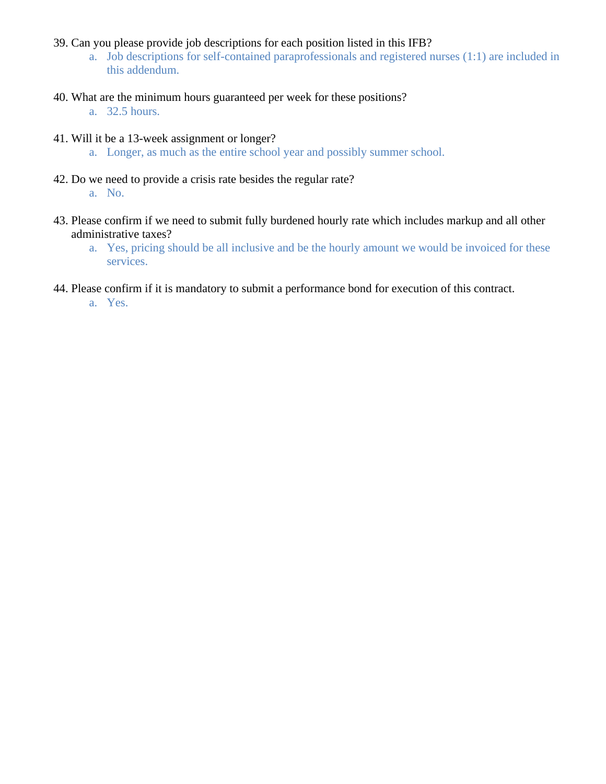- 39. Can you please provide job descriptions for each position listed in this IFB?
	- a. Job descriptions for self-contained paraprofessionals and registered nurses (1:1) are included in this addendum.
- 40. What are the minimum hours guaranteed per week for these positions?
	- a. 32.5 hours.
- 41. Will it be a 13-week assignment or longer?
	- a. Longer, as much as the entire school year and possibly summer school.
- 42. Do we need to provide a crisis rate besides the regular rate?
	- a. No.
- 43. Please confirm if we need to submit fully burdened hourly rate which includes markup and all other administrative taxes?
	- a. Yes, pricing should be all inclusive and be the hourly amount we would be invoiced for these services.
- 44. Please confirm if it is mandatory to submit a performance bond for execution of this contract.
	- a. Yes.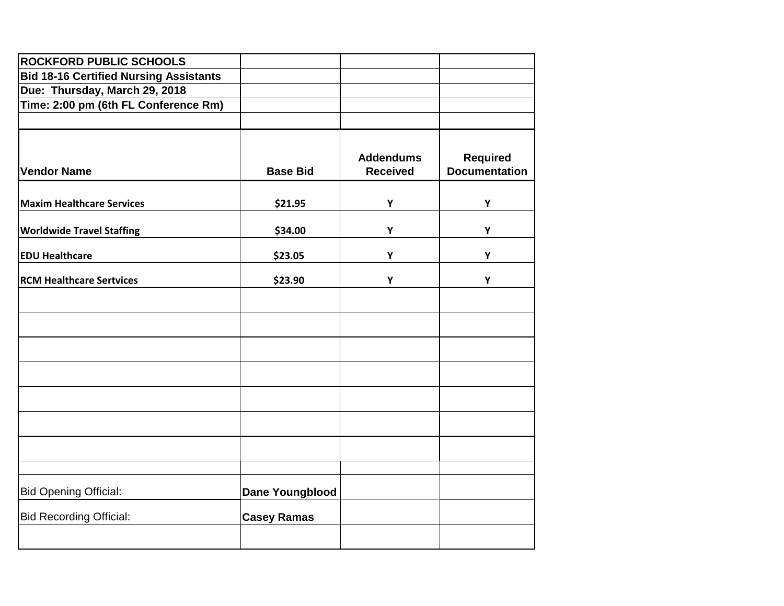| <b>ROCKFORD PUBLIC SCHOOLS</b>                |                        |                  |                      |
|-----------------------------------------------|------------------------|------------------|----------------------|
| <b>Bid 18-16 Certified Nursing Assistants</b> |                        |                  |                      |
| Due: Thursday, March 29, 2018                 |                        |                  |                      |
| Time: 2:00 pm (6th FL Conference Rm)          |                        |                  |                      |
|                                               |                        |                  |                      |
|                                               |                        | <b>Addendums</b> | <b>Required</b>      |
| <b>Vendor Name</b>                            | <b>Base Bid</b>        | <b>Received</b>  | <b>Documentation</b> |
| <b>Maxim Healthcare Services</b>              | \$21.95                | Y                | Y                    |
|                                               |                        |                  |                      |
| <b>Worldwide Travel Staffing</b>              | \$34.00                | Y                | Y                    |
| <b>EDU Healthcare</b>                         | \$23.05                | Y                | Y                    |
| <b>RCM Healthcare Sertvices</b>               | \$23.90                | Υ                | Y                    |
|                                               |                        |                  |                      |
|                                               |                        |                  |                      |
|                                               |                        |                  |                      |
|                                               |                        |                  |                      |
|                                               |                        |                  |                      |
|                                               |                        |                  |                      |
|                                               |                        |                  |                      |
|                                               |                        |                  |                      |
| <b>Bid Opening Official:</b>                  | <b>Dane Youngblood</b> |                  |                      |
| <b>Bid Recording Official:</b>                | <b>Casey Ramas</b>     |                  |                      |
|                                               |                        |                  |                      |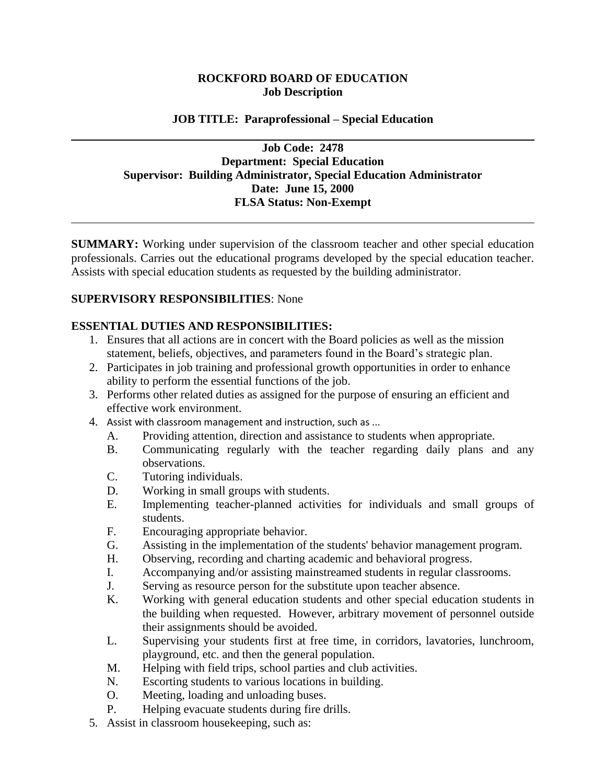### **ROCKFORD BOARD OF EDUCATION Job Description**

#### **JOB TITLE: Paraprofessional – Special Education**

### **Job Code: 2478 Department: Special Education Supervisor: Building Administrator, Special Education Administrator Date: June 15, 2000 FLSA Status: Non-Exempt**

**SUMMARY:** Working under supervision of the classroom teacher and other special education professionals. Carries out the educational programs developed by the special education teacher. Assists with special education students as requested by the building administrator.

#### **SUPERVISORY RESPONSIBILITIES**: None

#### **ESSENTIAL DUTIES AND RESPONSIBILITIES:**

- 1. Ensures that all actions are in concert with the Board policies as well as the mission statement, beliefs, objectives, and parameters found in the Board's strategic plan.
- 2. Participates in job training and professional growth opportunities in order to enhance ability to perform the essential functions of the job.
- 3. Performs other related duties as assigned for the purpose of ensuring an efficient and effective work environment.
- 4. Assist with classroom management and instruction, such as ...
	- A. Providing attention, direction and assistance to students when appropriate.
	- B. Communicating regularly with the teacher regarding daily plans and any observations.
	- C. Tutoring individuals.
	- D. Working in small groups with students.
	- E. Implementing teacher-planned activities for individuals and small groups of students.
	- F. Encouraging appropriate behavior.
	- G. Assisting in the implementation of the students' behavior management program.
	- H. Observing, recording and charting academic and behavioral progress.
	- I. Accompanying and/or assisting mainstreamed students in regular classrooms.
	- J. Serving as resource person for the substitute upon teacher absence.
	- K. Working with general education students and other special education students in the building when requested. However, arbitrary movement of personnel outside their assignments should be avoided.
	- L. Supervising your students first at free time, in corridors, lavatories, lunchroom, playground, etc. and then the general population.
	- M. Helping with field trips, school parties and club activities.
	- N. Escorting students to various locations in building.
	- O. Meeting, loading and unloading buses.
	- P. Helping evacuate students during fire drills.
- 5. Assist in classroom housekeeping, such as: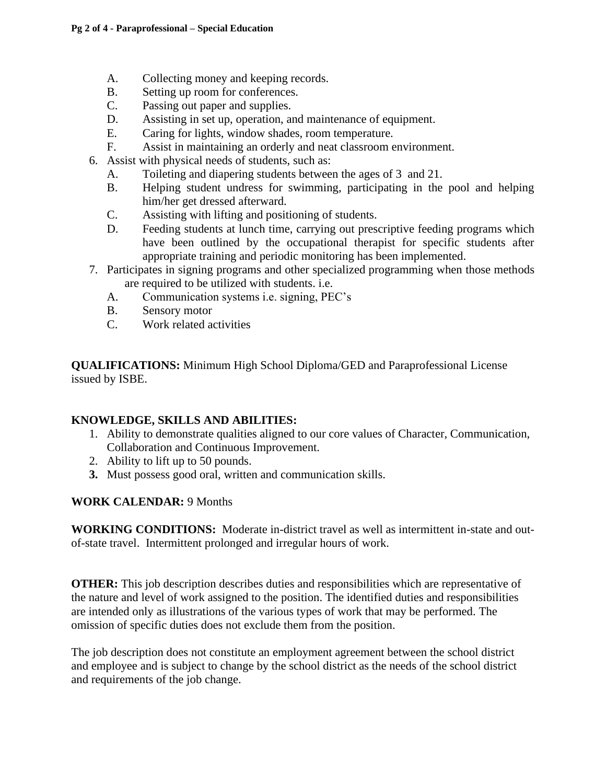- A. Collecting money and keeping records.
- B. Setting up room for conferences.
- C. Passing out paper and supplies.
- D. Assisting in set up, operation, and maintenance of equipment.
- E. Caring for lights, window shades, room temperature.
- F. Assist in maintaining an orderly and neat classroom environment.
- 6. Assist with physical needs of students, such as:
	- A. Toileting and diapering students between the ages of 3 and 21.
	- B. Helping student undress for swimming, participating in the pool and helping him/her get dressed afterward.
	- C. Assisting with lifting and positioning of students.
	- D. Feeding students at lunch time, carrying out prescriptive feeding programs which have been outlined by the occupational therapist for specific students after appropriate training and periodic monitoring has been implemented.
- 7. Participates in signing programs and other specialized programming when those methods are required to be utilized with students. i.e.
	- A. Communication systems i.e. signing, PEC's
	- B. Sensory motor
	- C. Work related activities

**QUALIFICATIONS:** Minimum High School Diploma/GED and Paraprofessional License issued by ISBE.

### **KNOWLEDGE, SKILLS AND ABILITIES:**

- 1. Ability to demonstrate qualities aligned to our core values of Character, Communication, Collaboration and Continuous Improvement.
- 2. Ability to lift up to 50 pounds.
- **3.** Must possess good oral, written and communication skills.

### **WORK CALENDAR:** 9 Months

**WORKING CONDITIONS:** Moderate in-district travel as well as intermittent in-state and outof-state travel. Intermittent prolonged and irregular hours of work.

**OTHER:** This job description describes duties and responsibilities which are representative of the nature and level of work assigned to the position. The identified duties and responsibilities are intended only as illustrations of the various types of work that may be performed. The omission of specific duties does not exclude them from the position.

The job description does not constitute an employment agreement between the school district and employee and is subject to change by the school district as the needs of the school district and requirements of the job change.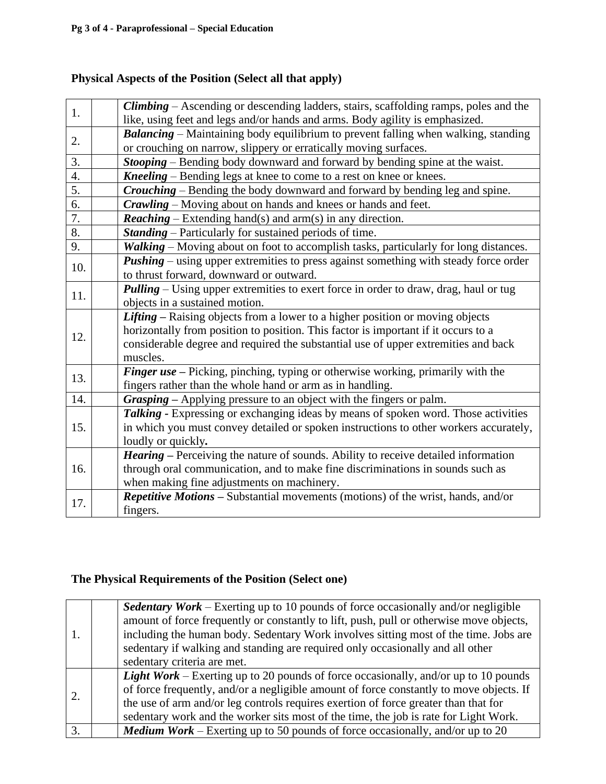# **Physical Aspects of the Position (Select all that apply)**

|     | <b>Climbing</b> – Ascending or descending ladders, stairs, scaffolding ramps, poles and the |  |
|-----|---------------------------------------------------------------------------------------------|--|
| 1.  | like, using feet and legs and/or hands and arms. Body agility is emphasized.                |  |
|     |                                                                                             |  |
| 2.  | <b>Balancing</b> – Maintaining body equilibrium to prevent falling when walking, standing   |  |
|     | or crouching on narrow, slippery or erratically moving surfaces.                            |  |
| 3.  | <b>Stooping</b> – Bending body downward and forward by bending spine at the waist.          |  |
| 4.  | Kneeling – Bending legs at knee to come to a rest on knee or knees.                         |  |
| 5.  | <b>Crouching</b> – Bending the body downward and forward by bending leg and spine.          |  |
| 6.  | <b>Crawling</b> – Moving about on hands and knees or hands and feet.                        |  |
| 7.  | <b>Reaching</b> – Extending hand(s) and arm(s) in any direction.                            |  |
| 8.  | <b>Standing</b> – Particularly for sustained periods of time.                               |  |
| 9.  | Walking - Moving about on foot to accomplish tasks, particularly for long distances.        |  |
| 10. | <b>Pushing</b> – using upper extremities to press against something with steady force order |  |
|     | to thrust forward, downward or outward.                                                     |  |
| 11. | <b>Pulling</b> – Using upper extremities to exert force in order to draw, drag, haul or tug |  |
|     | objects in a sustained motion.                                                              |  |
|     | Lifting – Raising objects from a lower to a higher position or moving objects               |  |
|     | horizontally from position to position. This factor is important if it occurs to a          |  |
| 12. | considerable degree and required the substantial use of upper extremities and back          |  |
|     | muscles.                                                                                    |  |
|     | Finger use – Picking, pinching, typing or otherwise working, primarily with the             |  |
| 13. | fingers rather than the whole hand or arm as in handling.                                   |  |
| 14. | Grasping - Applying pressure to an object with the fingers or palm.                         |  |
|     | Talking - Expressing or exchanging ideas by means of spoken word. Those activities          |  |
| 15. | in which you must convey detailed or spoken instructions to other workers accurately,       |  |
|     | loudly or quickly.                                                                          |  |
|     | <b>Hearing</b> – Perceiving the nature of sounds. Ability to receive detailed information   |  |
| 16. | through oral communication, and to make fine discriminations in sounds such as              |  |
|     | when making fine adjustments on machinery.                                                  |  |
|     | <b>Repetitive Motions – Substantial movements (motions) of the wrist, hands, and/or</b>     |  |
| 17. | fingers.                                                                                    |  |
|     |                                                                                             |  |

### **The Physical Requirements of the Position (Select one)**

|    | <b>Sedentary Work</b> – Exerting up to 10 pounds of force occasionally and/or negligible<br>amount of force frequently or constantly to lift, push, pull or otherwise move objects,<br>including the human body. Sedentary Work involves sitting most of the time. Jobs are<br>sedentary if walking and standing are required only occasionally and all other<br>sedentary criteria are met. |
|----|----------------------------------------------------------------------------------------------------------------------------------------------------------------------------------------------------------------------------------------------------------------------------------------------------------------------------------------------------------------------------------------------|
|    | <b>Light Work</b> – Exerting up to 20 pounds of force occasionally, and/or up to 10 pounds<br>of force frequently, and/or a negligible amount of force constantly to move objects. If<br>the use of arm and/or leg controls requires exertion of force greater than that for<br>sedentary work and the worker sits most of the time, the job is rate for Light Work.                         |
| 3. | <b>Medium Work</b> – Exerting up to 50 pounds of force occasionally, and/or up to 20                                                                                                                                                                                                                                                                                                         |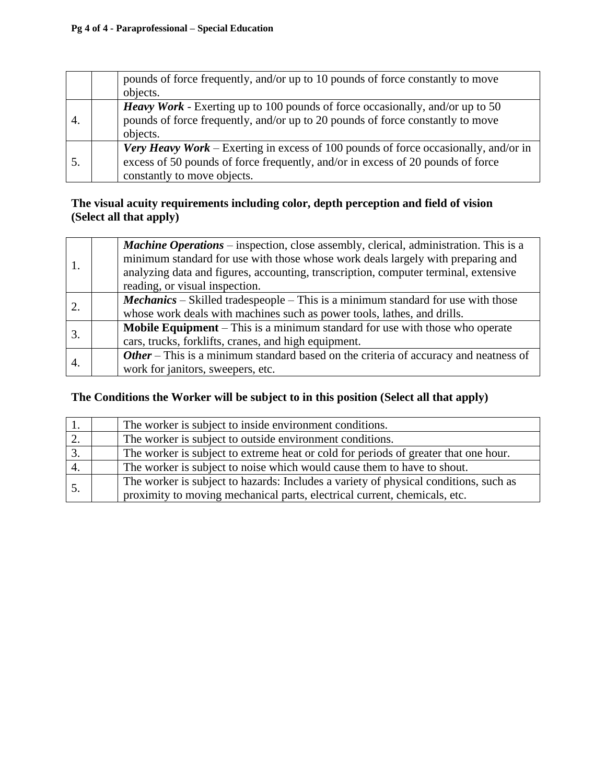#### **Pg 4 of 4 - Paraprofessional – Special Education**

|    | pounds of force frequently, and/or up to 10 pounds of force constantly to move                                                                                                                               |
|----|--------------------------------------------------------------------------------------------------------------------------------------------------------------------------------------------------------------|
|    | objects.                                                                                                                                                                                                     |
| 4. | <b>Heavy Work</b> - Exerting up to 100 pounds of force occasionally, and/or up to 50<br>pounds of force frequently, and/or up to 20 pounds of force constantly to move<br>objects.                           |
|    | <b>Very Heavy Work</b> – Exerting in excess of 100 pounds of force occasionally, and/or in<br>excess of 50 pounds of force frequently, and/or in excess of 20 pounds of force<br>constantly to move objects. |

### **The visual acuity requirements including color, depth perception and field of vision (Select all that apply)**

|  | <b>Machine Operations</b> – inspection, close assembly, clerical, administration. This is a<br>minimum standard for use with those whose work deals largely with preparing and<br>analyzing data and figures, accounting, transcription, computer terminal, extensive |
|--|-----------------------------------------------------------------------------------------------------------------------------------------------------------------------------------------------------------------------------------------------------------------------|
|  | reading, or visual inspection.                                                                                                                                                                                                                                        |
|  | <b>Mechanics</b> – Skilled tradespeople – This is a minimum standard for use with those                                                                                                                                                                               |
|  | whose work deals with machines such as power tools, lathes, and drills.                                                                                                                                                                                               |
|  | <b>Mobile Equipment</b> – This is a minimum standard for use with those who operate                                                                                                                                                                                   |
|  | cars, trucks, forklifts, cranes, and high equipment.                                                                                                                                                                                                                  |
|  | Other - This is a minimum standard based on the criteria of accuracy and neatness of                                                                                                                                                                                  |
|  | work for janitors, sweepers, etc.                                                                                                                                                                                                                                     |

### **The Conditions the Worker will be subject to in this position (Select all that apply)**

| The worker is subject to inside environment conditions.                              |
|--------------------------------------------------------------------------------------|
| The worker is subject to outside environment conditions.                             |
| The worker is subject to extreme heat or cold for periods of greater that one hour.  |
| The worker is subject to noise which would cause them to have to shout.              |
| The worker is subject to hazards: Includes a variety of physical conditions, such as |
| proximity to moving mechanical parts, electrical current, chemicals, etc.            |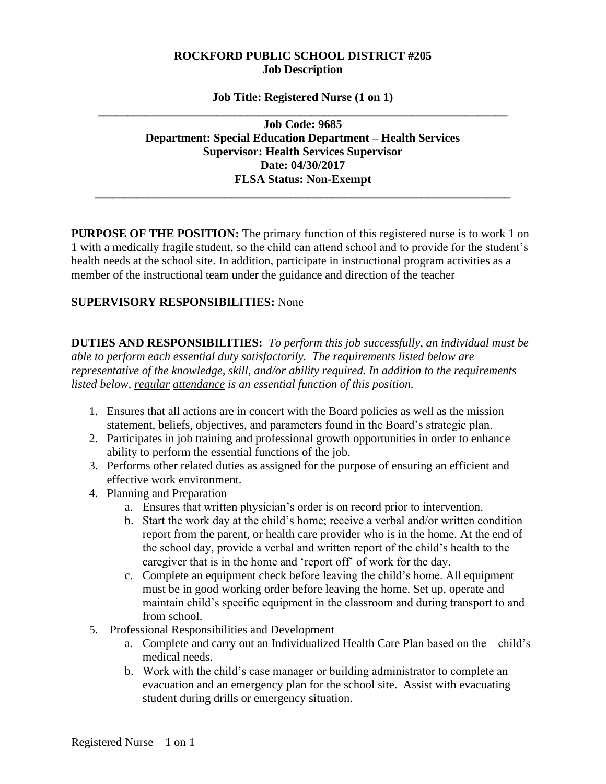#### **ROCKFORD PUBLIC SCHOOL DISTRICT #205 Job Description**

#### **Job Title: Registered Nurse (1 on 1) \_\_\_\_\_\_\_\_\_\_\_\_\_\_\_\_\_\_\_\_\_\_\_\_\_\_\_\_\_\_\_\_\_\_\_\_\_\_\_\_\_\_\_\_\_\_\_\_\_\_\_\_\_\_\_\_\_\_\_\_\_\_\_\_\_\_\_\_\_**

**Job Code: 9685 Department: Special Education Department – Health Services Supervisor: Health Services Supervisor Date: 04/30/2017 FLSA Status: Non-Exempt**

**\_\_\_\_\_\_\_\_\_\_\_\_\_\_\_\_\_\_\_\_\_\_\_\_\_\_\_\_\_\_\_\_\_\_\_\_\_\_\_\_\_\_\_\_\_\_\_\_\_\_\_\_\_\_\_\_\_\_\_\_\_\_\_\_\_\_\_\_\_\_**

**PURPOSE OF THE POSITION:** The primary function of this registered nurse is to work 1 on 1 with a medically fragile student, so the child can attend school and to provide for the student's health needs at the school site. In addition, participate in instructional program activities as a member of the instructional team under the guidance and direction of the teacher

#### **SUPERVISORY RESPONSIBILITIES:** None

**DUTIES AND RESPONSIBILITIES:** *To perform this job successfully, an individual must be able to perform each essential duty satisfactorily. The requirements listed below are representative of the knowledge, skill, and/or ability required. In addition to the requirements listed below, regular attendance is an essential function of this position.* 

- 1. Ensures that all actions are in concert with the Board policies as well as the mission statement, beliefs, objectives, and parameters found in the Board's strategic plan.
- 2. Participates in job training and professional growth opportunities in order to enhance ability to perform the essential functions of the job.
- 3. Performs other related duties as assigned for the purpose of ensuring an efficient and effective work environment.
- 4. Planning and Preparation
	- a. Ensures that written physician's order is on record prior to intervention.
	- b. Start the work day at the child's home; receive a verbal and/or written condition report from the parent, or health care provider who is in the home. At the end of the school day, provide a verbal and written report of the child's health to the caregiver that is in the home and 'report off' of work for the day.
	- c. Complete an equipment check before leaving the child's home. All equipment must be in good working order before leaving the home. Set up, operate and maintain child's specific equipment in the classroom and during transport to and from school.
- 5. Professional Responsibilities and Development
	- a. Complete and carry out an Individualized Health Care Plan based on the child's medical needs.
	- b. Work with the child's case manager or building administrator to complete an evacuation and an emergency plan for the school site. Assist with evacuating student during drills or emergency situation.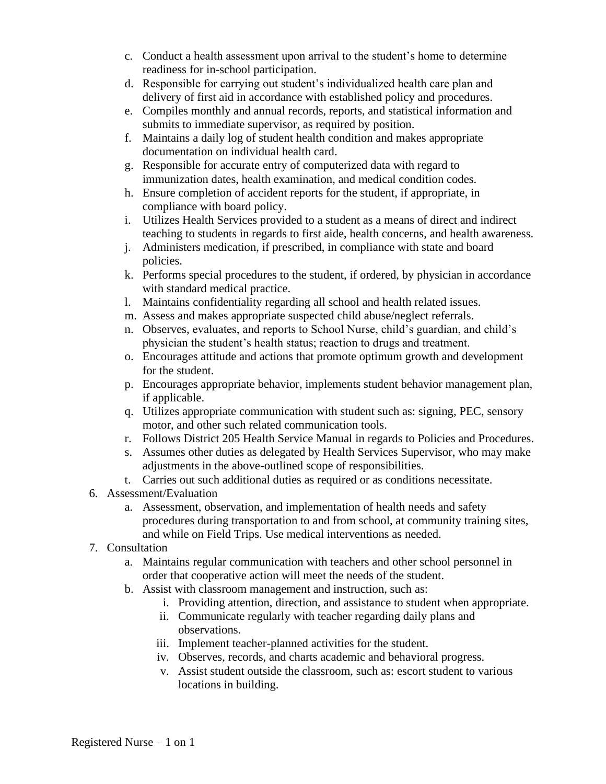- c. Conduct a health assessment upon arrival to the student's home to determine readiness for in-school participation.
- d. Responsible for carrying out student's individualized health care plan and delivery of first aid in accordance with established policy and procedures.
- e. Compiles monthly and annual records, reports, and statistical information and submits to immediate supervisor, as required by position.
- f. Maintains a daily log of student health condition and makes appropriate documentation on individual health card.
- g. Responsible for accurate entry of computerized data with regard to immunization dates, health examination, and medical condition codes.
- h. Ensure completion of accident reports for the student, if appropriate, in compliance with board policy.
- i. Utilizes Health Services provided to a student as a means of direct and indirect teaching to students in regards to first aide, health concerns, and health awareness.
- j. Administers medication, if prescribed, in compliance with state and board policies.
- k. Performs special procedures to the student, if ordered, by physician in accordance with standard medical practice.
- l. Maintains confidentiality regarding all school and health related issues.
- m. Assess and makes appropriate suspected child abuse/neglect referrals.
- n. Observes, evaluates, and reports to School Nurse, child's guardian, and child's physician the student's health status; reaction to drugs and treatment.
- o. Encourages attitude and actions that promote optimum growth and development for the student.
- p. Encourages appropriate behavior, implements student behavior management plan, if applicable.
- q. Utilizes appropriate communication with student such as: signing, PEC, sensory motor, and other such related communication tools.
- r. Follows District 205 Health Service Manual in regards to Policies and Procedures.
- s. Assumes other duties as delegated by Health Services Supervisor, who may make adjustments in the above-outlined scope of responsibilities.
- t. Carries out such additional duties as required or as conditions necessitate.
- 6. Assessment/Evaluation
	- a. Assessment, observation, and implementation of health needs and safety procedures during transportation to and from school, at community training sites, and while on Field Trips. Use medical interventions as needed.
- 7. Consultation
	- a. Maintains regular communication with teachers and other school personnel in order that cooperative action will meet the needs of the student.
	- b. Assist with classroom management and instruction, such as:
		- i. Providing attention, direction, and assistance to student when appropriate.
		- ii. Communicate regularly with teacher regarding daily plans and observations.
		- iii. Implement teacher-planned activities for the student.
		- iv. Observes, records, and charts academic and behavioral progress.
		- v. Assist student outside the classroom, such as: escort student to various locations in building.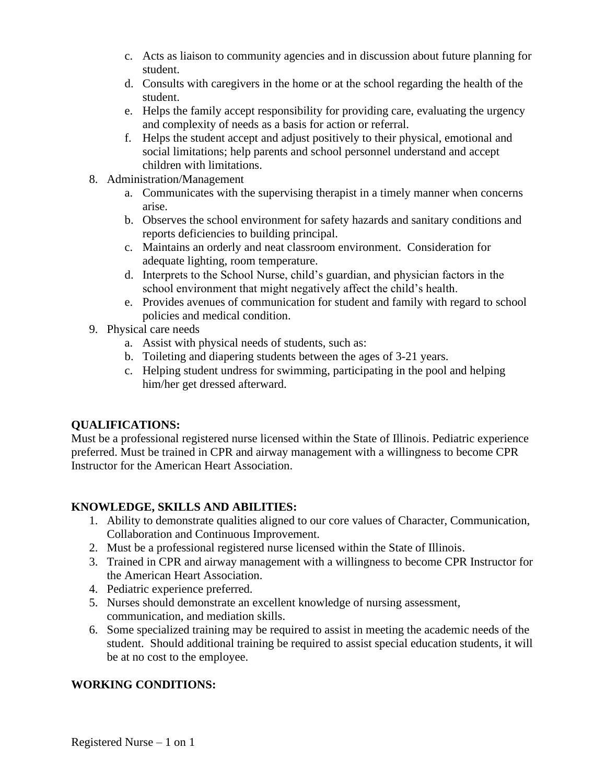- c. Acts as liaison to community agencies and in discussion about future planning for student.
- d. Consults with caregivers in the home or at the school regarding the health of the student.
- e. Helps the family accept responsibility for providing care, evaluating the urgency and complexity of needs as a basis for action or referral.
- f. Helps the student accept and adjust positively to their physical, emotional and social limitations; help parents and school personnel understand and accept children with limitations.
- 8. Administration/Management
	- a. Communicates with the supervising therapist in a timely manner when concerns arise.
	- b. Observes the school environment for safety hazards and sanitary conditions and reports deficiencies to building principal.
	- c. Maintains an orderly and neat classroom environment. Consideration for adequate lighting, room temperature.
	- d. Interprets to the School Nurse, child's guardian, and physician factors in the school environment that might negatively affect the child's health.
	- e. Provides avenues of communication for student and family with regard to school policies and medical condition.
- 9. Physical care needs
	- a. Assist with physical needs of students, such as:
	- b. Toileting and diapering students between the ages of 3-21 years.
	- c. Helping student undress for swimming, participating in the pool and helping him/her get dressed afterward.

### **QUALIFICATIONS:**

Must be a professional registered nurse licensed within the State of Illinois. Pediatric experience preferred. Must be trained in CPR and airway management with a willingness to become CPR Instructor for the American Heart Association.

### **KNOWLEDGE, SKILLS AND ABILITIES:**

- 1. Ability to demonstrate qualities aligned to our core values of Character, Communication, Collaboration and Continuous Improvement.
- 2. Must be a professional registered nurse licensed within the State of Illinois.
- 3. Trained in CPR and airway management with a willingness to become CPR Instructor for the American Heart Association.
- 4. Pediatric experience preferred.
- 5. Nurses should demonstrate an excellent knowledge of nursing assessment, communication, and mediation skills.
- 6. Some specialized training may be required to assist in meeting the academic needs of the student. Should additional training be required to assist special education students, it will be at no cost to the employee.

### **WORKING CONDITIONS:**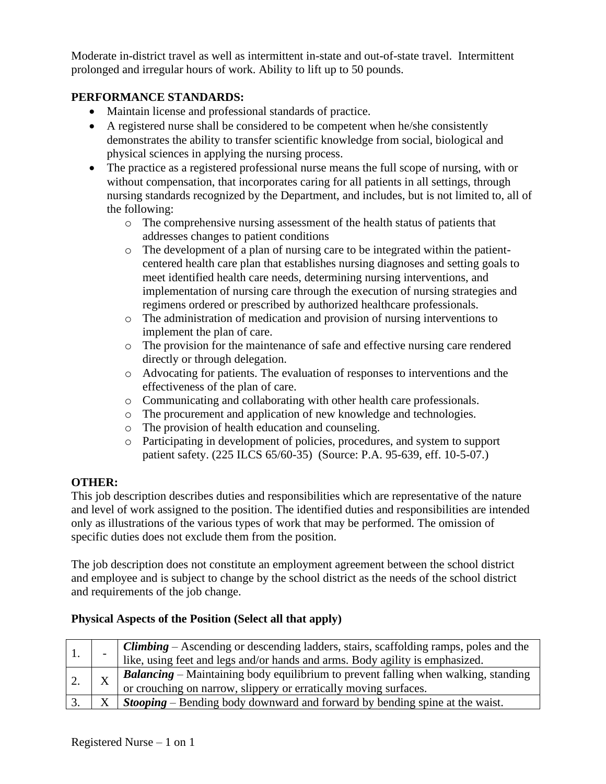Moderate in-district travel as well as intermittent in-state and out-of-state travel. Intermittent prolonged and irregular hours of work. Ability to lift up to 50 pounds.

### **PERFORMANCE STANDARDS:**

- Maintain license and professional standards of practice.
- A registered nurse shall be considered to be competent when he/she consistently demonstrates the ability to transfer scientific knowledge from social, biological and physical sciences in applying the nursing process.
- The practice as a registered professional nurse means the full scope of nursing, with or without compensation, that incorporates caring for all patients in all settings, through nursing standards recognized by the Department, and includes, but is not limited to, all of the following:
	- o The comprehensive nursing assessment of the health status of patients that addresses changes to patient conditions
	- $\circ$  The development of a plan of nursing care to be integrated within the patientcentered health care plan that establishes nursing diagnoses and setting goals to meet identified health care needs, determining nursing interventions, and implementation of nursing care through the execution of nursing strategies and regimens ordered or prescribed by authorized healthcare professionals.
	- o The administration of medication and provision of nursing interventions to implement the plan of care.
	- o The provision for the maintenance of safe and effective nursing care rendered directly or through delegation.
	- o Advocating for patients. The evaluation of responses to interventions and the effectiveness of the plan of care.
	- o Communicating and collaborating with other health care professionals.
	- o The procurement and application of new knowledge and technologies.
	- o The provision of health education and counseling.
	- o Participating in development of policies, procedures, and system to support patient safety. (225 ILCS 65/60-35) (Source: P.A. 95-639, eff. 10-5-07.)

### **OTHER:**

This job description describes duties and responsibilities which are representative of the nature and level of work assigned to the position. The identified duties and responsibilities are intended only as illustrations of the various types of work that may be performed. The omission of specific duties does not exclude them from the position.

The job description does not constitute an employment agreement between the school district and employee and is subject to change by the school district as the needs of the school district and requirements of the job change.

### **Physical Aspects of the Position (Select all that apply)**

|  | <b>Climbing</b> $-$ Ascending or descending ladders, stairs, scaffolding ramps, poles and the<br>like, using feet and legs and/or hands and arms. Body agility is emphasized. |
|--|-------------------------------------------------------------------------------------------------------------------------------------------------------------------------------|
|  | Balancing - Maintaining body equilibrium to prevent falling when walking, standing                                                                                            |
|  | or crouching on narrow, slippery or erratically moving surfaces.                                                                                                              |
|  | <b>Stooping</b> – Bending body downward and forward by bending spine at the waist.                                                                                            |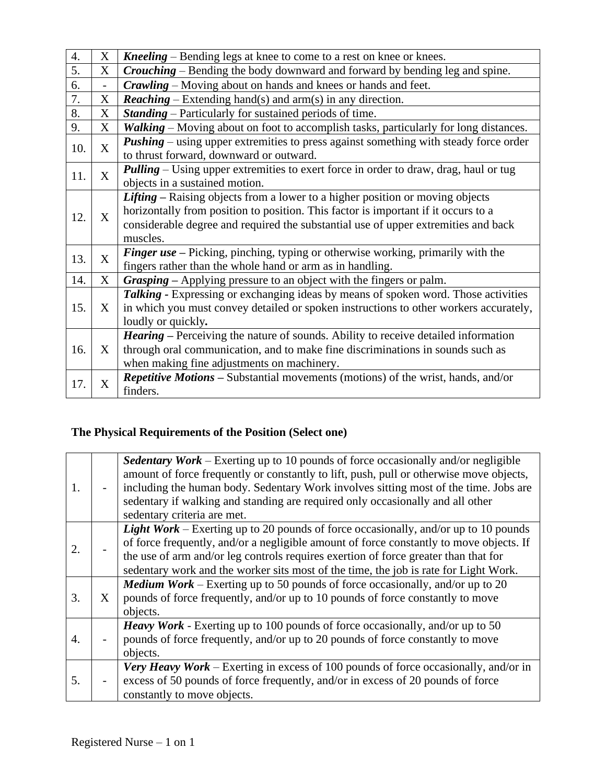| 4.  | X                 | <b>Kneeling</b> – Bending legs at knee to come to a rest on knee or knees.                                                                                                                                                                                            |
|-----|-------------------|-----------------------------------------------------------------------------------------------------------------------------------------------------------------------------------------------------------------------------------------------------------------------|
| 5.  | X                 | <b>Crouching</b> – Bending the body downward and forward by bending leg and spine.                                                                                                                                                                                    |
| 6.  |                   | <b>Crawling</b> – Moving about on hands and knees or hands and feet.                                                                                                                                                                                                  |
| 7.  | X                 | <b>Reaching</b> – Extending hand(s) and arm(s) in any direction.                                                                                                                                                                                                      |
| 8.  | X                 | <b>Standing</b> – Particularly for sustained periods of time.                                                                                                                                                                                                         |
| 9.  | X                 | Walking – Moving about on foot to accomplish tasks, particularly for long distances.                                                                                                                                                                                  |
| 10. | X                 | <b>Pushing</b> – using upper extremities to press against something with steady force order<br>to thrust forward, downward or outward.                                                                                                                                |
| 11. | $\mathbf{X}$      | <b>Pulling</b> – Using upper extremities to exert force in order to draw, drag, haul or tug<br>objects in a sustained motion.                                                                                                                                         |
| 12. | X                 | Lifting – Raising objects from a lower to a higher position or moving objects<br>horizontally from position to position. This factor is important if it occurs to a<br>considerable degree and required the substantial use of upper extremities and back<br>muscles. |
| 13. | X                 | <b>Finger use</b> – Picking, pinching, typing or otherwise working, primarily with the<br>fingers rather than the whole hand or arm as in handling.                                                                                                                   |
| 14. | X                 | Grasping – Applying pressure to an object with the fingers or palm.                                                                                                                                                                                                   |
| 15. | X                 | Talking - Expressing or exchanging ideas by means of spoken word. Those activities<br>in which you must convey detailed or spoken instructions to other workers accurately,<br>loudly or quickly.                                                                     |
| 16. | $X_{\mathcal{C}}$ | <b>Hearing</b> – Perceiving the nature of sounds. Ability to receive detailed information<br>through oral communication, and to make fine discriminations in sounds such as<br>when making fine adjustments on machinery.                                             |
| 17. | X                 | <b>Repetitive Motions – Substantial movements (motions) of the wrist, hands, and/or</b><br>finders.                                                                                                                                                                   |

# **The Physical Requirements of the Position (Select one)**

| 1. |   | <b>Sedentary Work</b> – Exerting up to 10 pounds of force occasionally and/or negligible<br>amount of force frequently or constantly to lift, push, pull or otherwise move objects,<br>including the human body. Sedentary Work involves sitting most of the time. Jobs are<br>sedentary if walking and standing are required only occasionally and all other<br>sedentary criteria are met. |
|----|---|----------------------------------------------------------------------------------------------------------------------------------------------------------------------------------------------------------------------------------------------------------------------------------------------------------------------------------------------------------------------------------------------|
| 2. |   | <b>Light Work</b> – Exerting up to 20 pounds of force occasionally, and/or up to 10 pounds<br>of force frequently, and/or a negligible amount of force constantly to move objects. If<br>the use of arm and/or leg controls requires exertion of force greater than that for<br>sedentary work and the worker sits most of the time, the job is rate for Light Work.                         |
| 3. | X | <b>Medium Work</b> – Exerting up to 50 pounds of force occasionally, and/or up to 20<br>pounds of force frequently, and/or up to 10 pounds of force constantly to move<br>objects.                                                                                                                                                                                                           |
| 4. |   | <i>Heavy Work</i> - Exerting up to 100 pounds of force occasionally, and/or up to 50<br>pounds of force frequently, and/or up to 20 pounds of force constantly to move<br>objects.                                                                                                                                                                                                           |
| 5. |   | <b>Very Heavy Work</b> – Exerting in excess of 100 pounds of force occasionally, and/or in<br>excess of 50 pounds of force frequently, and/or in excess of 20 pounds of force<br>constantly to move objects.                                                                                                                                                                                 |